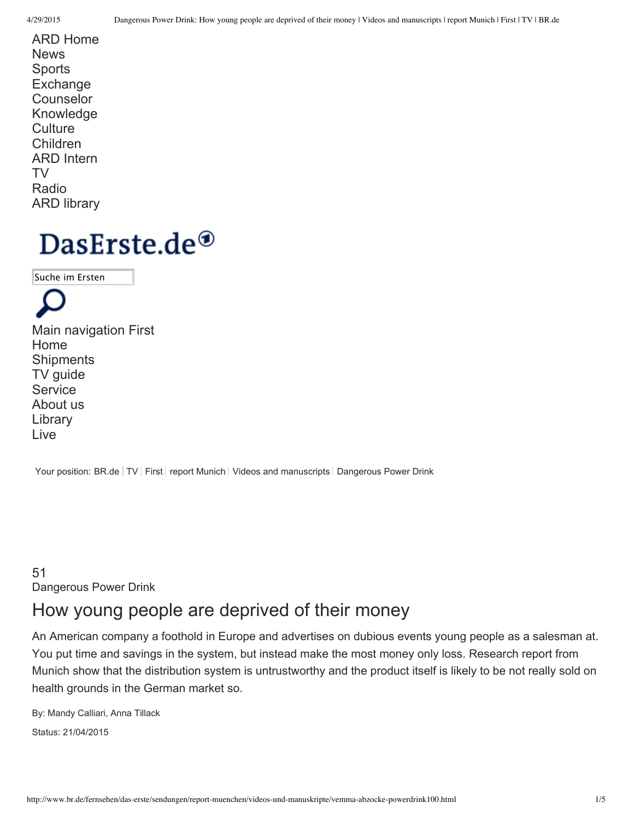ARD Home **News Sports Exchange** Counselor Knowledge **Culture** Children ARD Intern TV Radio ARD library

# DasErste.de $^{\circledR}$

Suche im Ersten

Main navigation First Home **Shipments** TV guide **Service** About us Library Live

Your position: BR.de | TV | First | report Munich | Videos and manuscripts | Dangerous Power Drink

51 Dangerous Power Drink

# How young people are deprived of their money

An American company a foothold in Europe and advertises on dubious events young people as a salesman at. You put time and savings in the system, but instead make the most money only loss. Research report from Munich show that the distribution system is untrustworthy and the product itself is likely to be not really sold on health grounds in the German market so.

By: Mandy Calliari, Anna Tillack Status: 21/04/2015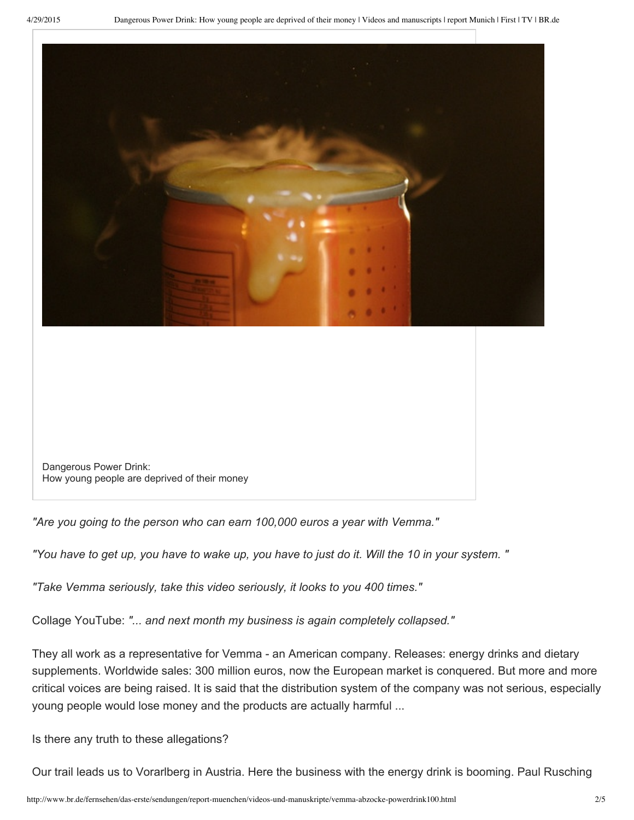

Dangerous Power Drink: How young people are deprived of their money

*"Are you going to the person who can earn 100,000 euros a year with Vemma."*

"You have to get up, you have to wake up, you have to just do it. Will the 10 in your system."

*"Take Vemma seriously, take this video seriously, it looks to you 400 times."*

Collage YouTube: *"... and next month my business is again completely collapsed."*

They all work as a representative for Vemma - an American company. Releases: energy drinks and dietary supplements. Worldwide sales: 300 million euros, now the European market is conquered. But more and more critical voices are being raised. It is said that the distribution system of the company was not serious, especially young people would lose money and the products are actually harmful ...

Is there any truth to these allegations?

Our trail leads us to Vorarlberg in Austria. Here the business with the energy drink is booming. Paul Rusching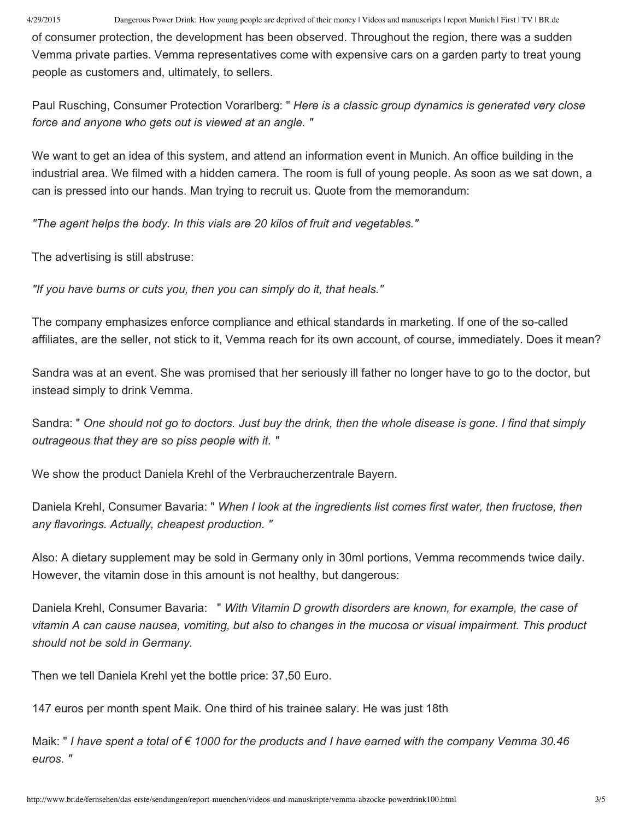4/29/2015 Dangerous Power Drink: How young people are deprived of their money | Videos and manuscripts | report Munich | First | TV | BR.de

of consumer protection, the development has been observed. Throughout the region, there was a sudden Vemma private parties. Vemma representatives come with expensive cars on a garden party to treat young people as customers and, ultimately, to sellers.

Paul Rusching, Consumer Protection Vorarlberg: " *Here is a classic group dynamics is generated very close force and anyone who gets out is viewed at an angle. "*

We want to get an idea of this system, and attend an information event in Munich. An office building in the industrial area. We filmed with a hidden camera. The room is full of young people. As soon as we sat down, a can is pressed into our hands. Man trying to recruit us. Quote from the memorandum:

*"The agent helps the body. In this vials are 20 kilos of fruit and vegetables."*

The advertising is still abstruse:

*"If you have burns or cuts you, then you can simply do it, that heals."*

The company emphasizes enforce compliance and ethical standards in marketing. If one of the so-called affiliates, are the seller, not stick to it, Vemma reach for its own account, of course, immediately. Does it mean?

Sandra was at an event. She was promised that her seriously ill father no longer have to go to the doctor, but instead simply to drink Vemma.

Sandra: " One should not go to doctors. Just buy the drink, then the whole disease is gone. I find that simply *outrageous that they are so piss people with it. "*

We show the product Daniela Krehl of the Verbraucherzentrale Bayern.

Daniela Krehl, Consumer Bavaria: " *When I look at the ingredients list comes first water, then fructose, then any flavorings. Actually, cheapest production. "*

Also: A dietary supplement may be sold in Germany only in 30ml portions, Vemma recommends twice daily. However, the vitamin dose in this amount is not healthy, but dangerous:

Daniela Krehl, Consumer Bavaria: " *With Vitamin D growth disorders are known, for example, the case of* vitamin A can cause nausea, vomiting, but also to changes in the mucosa or visual impairment. This product *should not be sold in Germany.*

Then we tell Daniela Krehl yet the bottle price: 37,50 Euro.

147 euros per month spent Maik. One third of his trainee salary. He was just 18th

Maik: "I have spent a total of  $\epsilon$  1000 for the products and I have earned with the company Vemma 30.46 *euros. "*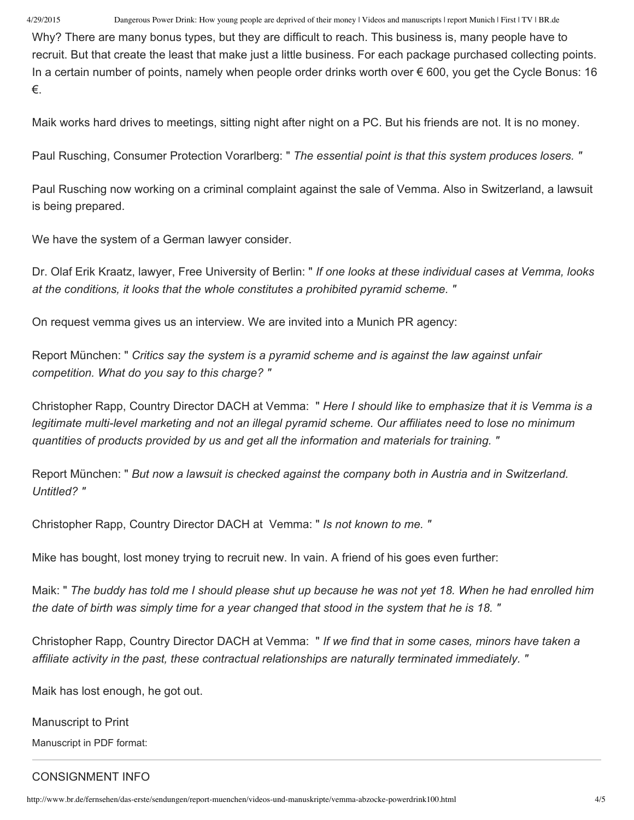4/29/2015 Dangerous Power Drink: How young people are deprived of their money | Videos and manuscripts | report Munich | First | TV | BR.de

Why? There are many bonus types, but they are difficult to reach. This business is, many people have to recruit. But that create the least that make just a little business. For each package purchased collecting points. In a certain number of points, namely when people order drinks worth over € 600, you get the Cycle Bonus: 16 €.

Maik works hard drives to meetings, sitting night after night on a PC. But his friends are not. It is no money.

Paul Rusching, Consumer Protection Vorarlberg: " *The essential point is that this system produces losers. "*

Paul Rusching now working on a criminal complaint against the sale of Vemma. Also in Switzerland, a lawsuit is being prepared.

We have the system of a German lawyer consider.

Dr. Olaf Erik Kraatz, lawyer, Free University of Berlin: " *If one looks at these individual cases at Vemma, looks at the conditions, it looks that the whole constitutes a prohibited pyramid scheme. "*

On request vemma gives us an interview. We are invited into a Munich PR agency:

Report München: " *Critics say the system is a pyramid scheme and is against the law against unfair competition. What do you say to this charge? "*

Christopher Rapp, Country Director DACH at Vemma: " *Here I should like to emphasize that it is Vemma is a legitimate multi-level marketing and not an illegal pyramid scheme. Our affiliates need to lose no minimum quantities of products provided by us and get all the information and materials for training. "*

Report München: " *But now a lawsuit is checked against the company both in Austria and in Switzerland. Untitled? "*

Christopher Rapp, Country Director DACH at Vemma: " *Is not known to me. "*

Mike has bought, lost money trying to recruit new. In vain. A friend of his goes even further:

Maik: " The buddy has told me I should please shut up because he was not yet 18. When he had enrolled him the date of birth was simply time for a year changed that stood in the system that he is 18. "

Christopher Rapp, Country Director DACH at Vemma: " *If we find that in some cases, minors have taken a affiliate activity in the past, these contractual relationships are naturally terminated immediately. "*

Maik has lost enough, he got out.

Manuscript to Print

Manuscript in PDF format:

# CONSIGNMENT INFO